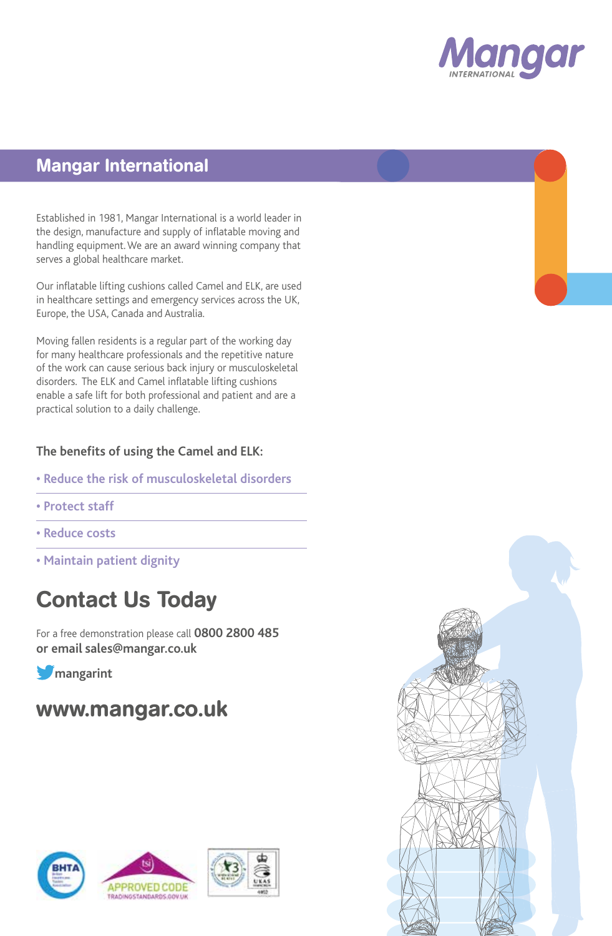

### Mangar International

Established in 1981, Mangar International is a world leader in the design, manufacture and supply of inflatable moving and handling equipment. We are an award winning company that serves a global healthcare market.

Our inflatable lifting cushions called Camel and ELK, are used in healthcare settings and emergency services across the UK, Europe, the USA, Canada and Australia.

Moving fallen residents is a regular part of the working day for many healthcare professionals and the repetitive nature of the work can cause serious back injury or musculoskeletal disorders. The ELK and Camel inflatable lifting cushions enable a safe lift for both professional and patient and are a practical solution to a daily challenge.

#### **The benefits of using the Camel and ELK:**

- **Reduce the risk of musculoskeletal disorders**
- **Protect staff**
- **Reduce costs**
- **Maintain patient dignity**

# Contact Us Today

For a free demonstration please call **0800 2800 485 or email sales@mangar.co.uk**

**M**<sub>mangarint</sub>

# www.mangar.co.uk







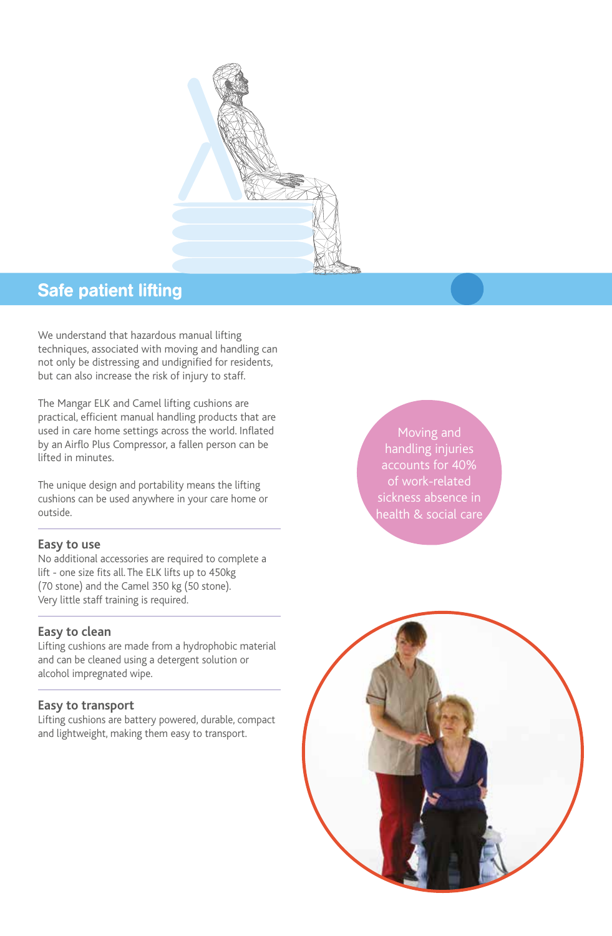

### Safe patient lifting

We understand that hazardous manual lifting techniques, associated with moving and handling can not only be distressing and undignified for residents, but can also increase the risk of injury to staff.

The Mangar ELK and Camel lifting cushions are practical, efficient manual handling products that are used in care home settings across the world. Inflated by an Airflo Plus Compressor, a fallen person can be lifted in minutes.

The unique design and portability means the lifting cushions can be used anywhere in your care home or outside.

#### **Easy to use**

No additional accessories are required to complete a lift - one size fits all. The ELK lifts up to 450kg (70 stone) and the Camel 350 kg (50 stone). Very little staff training is required.

#### **Easy to clean**

Lifting cushions are made from a hydrophobic material and can be cleaned using a detergent solution or alcohol impregnated wipe.

#### **Easy to transport**

Lifting cushions are battery powered, durable, compact and lightweight, making them easy to transport.

Moving and handling injuries accounts for 40% of work-related sickness absence in health & social care

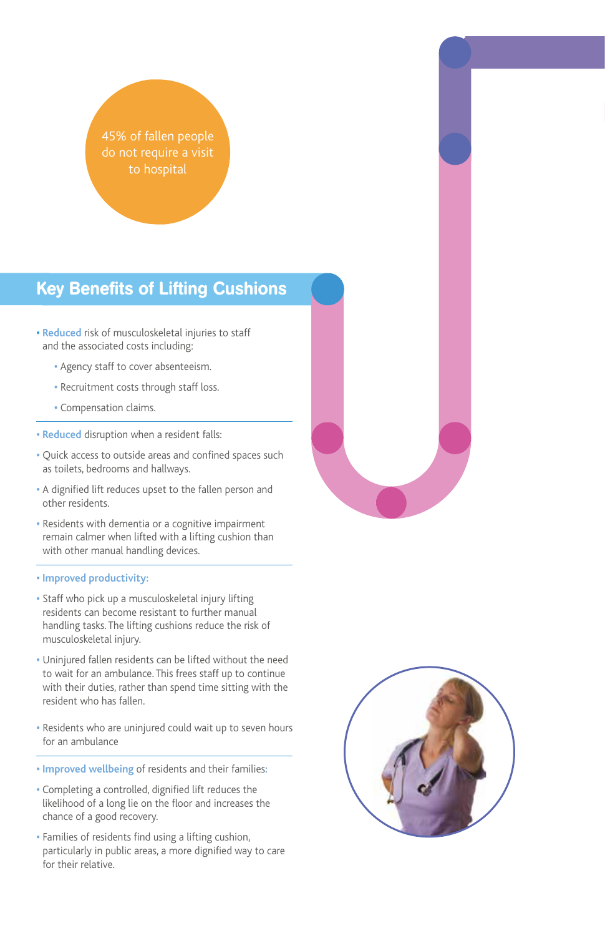45% of fallen people do not require a visit

## Key Benefits of Lifting Cushions

- **• Reduced** risk of musculoskeletal injuries to staff and the associated costs including:
	- **•** Agency staff to cover absenteeism.
	- **•** Recruitment costs through staff loss.
	- **•** Compensation claims.
- **Reduced** disruption when a resident falls:
- **•** Quick access to outside areas and confined spaces such as toilets, bedrooms and hallways.
- **•** A dignified lift reduces upset to the fallen person and other residents.
- **•** Residents with dementia or a cognitive impairment remain calmer when lifted with a lifting cushion than with other manual handling devices.

#### **• Improved productivity:**

- **•** Staff who pick up a musculoskeletal injury lifting residents can become resistant to further manual handling tasks. The lifting cushions reduce the risk of musculoskeletal injury.
- **•** Uninjured fallen residents can be lifted without the need to wait for an ambulance. This frees staff up to continue with their duties, rather than spend time sitting with the resident who has fallen.
- **•** Residents who are uninjured could wait up to seven hours for an ambulance
- **Improved wellbeing** of residents and their families**:**
- Completing a controlled, dignified lift reduces the likelihood of a long lie on the floor and increases the chance of a good recovery.
- **•** Families of residents find using a lifting cushion, particularly in public areas, a more dignified way to care for their relative.

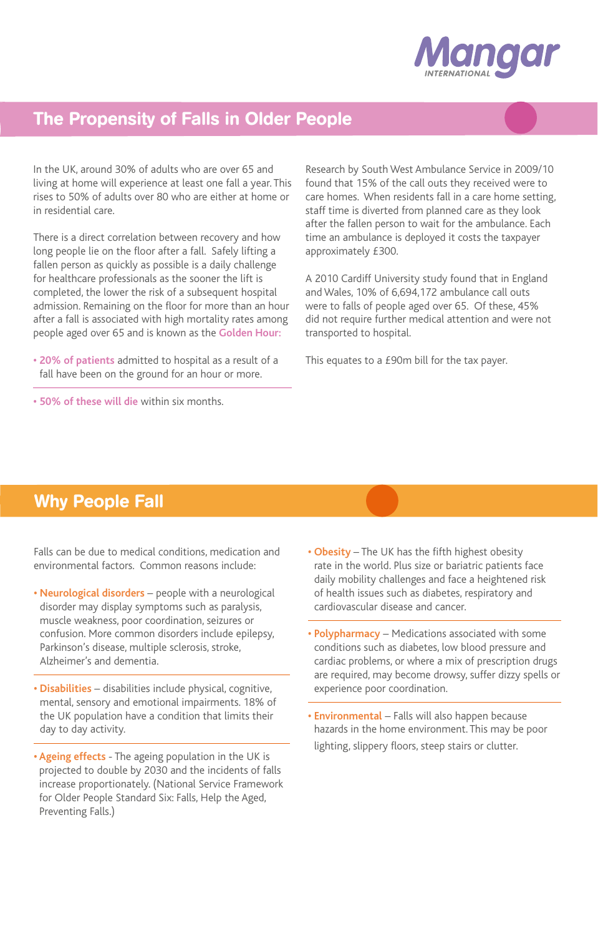

## The Propensity of Falls in Older People

In the UK, around 30% of adults who are over 65 and living at home will experience at least one fall a year. This rises to 50% of adults over 80 who are either at home or in residential care.

There is a direct correlation between recovery and how long people lie on the floor after a fall. Safely lifting a fallen person as quickly as possible is a daily challenge for healthcare professionals as the sooner the lift is completed, the lower the risk of a subsequent hospital admission. Remaining on the floor for more than an hour after a fall is associated with high mortality rates among people aged over 65 and is known as the **Golden Hour:**

- **20% of patients** admitted to hospital as a result of a fall have been on the ground for an hour or more.
- **50% of these will die** within six months.

Research by South West Ambulance Service in 2009/10 found that 15% of the call outs they received were to care homes. When residents fall in a care home setting, staff time is diverted from planned care as they look after the fallen person to wait for the ambulance. Each time an ambulance is deployed it costs the taxpayer approximately £300.

A 2010 Cardiff University study found that in England and Wales, 10% of 6,694,172 ambulance call outs were to falls of people aged over 65. Of these, 45% did not require further medical attention and were not transported to hospital.

This equates to a £90m bill for the tax payer.

### Why People Fall

Falls can be due to medical conditions, medication and environmental factors. Common reasons include:

- **Neurological disorders** people with a neurological disorder may display symptoms such as paralysis, muscle weakness, poor coordination, seizures or confusion. More common disorders include epilepsy, Parkinson's disease, multiple sclerosis, stroke, Alzheimer's and dementia.
- **Disabilities** disabilities include physical, cognitive, mental, sensory and emotional impairments. 18% of the UK population have a condition that limits their day to day activity.
- **Ageing effects**  The ageing population in the UK is projected to double by 2030 and the incidents of falls increase proportionately. (National Service Framework for Older People Standard Six: Falls, Help the Aged, Preventing Falls.)
- **Obesity**  The UK has the fifth highest obesity rate in the world. Plus size or bariatric patients face daily mobility challenges and face a heightened risk of health issues such as diabetes, respiratory and cardiovascular disease and cancer.
- **• Polypharmacy** Medications associated with some conditions such as diabetes, low blood pressure and cardiac problems, or where a mix of prescription drugs are required, may become drowsy, suffer dizzy spells or experience poor coordination.
- **Environmental** Falls will also happen because hazards in the home environment. This may be poor lighting, slippery floors, steep stairs or clutter.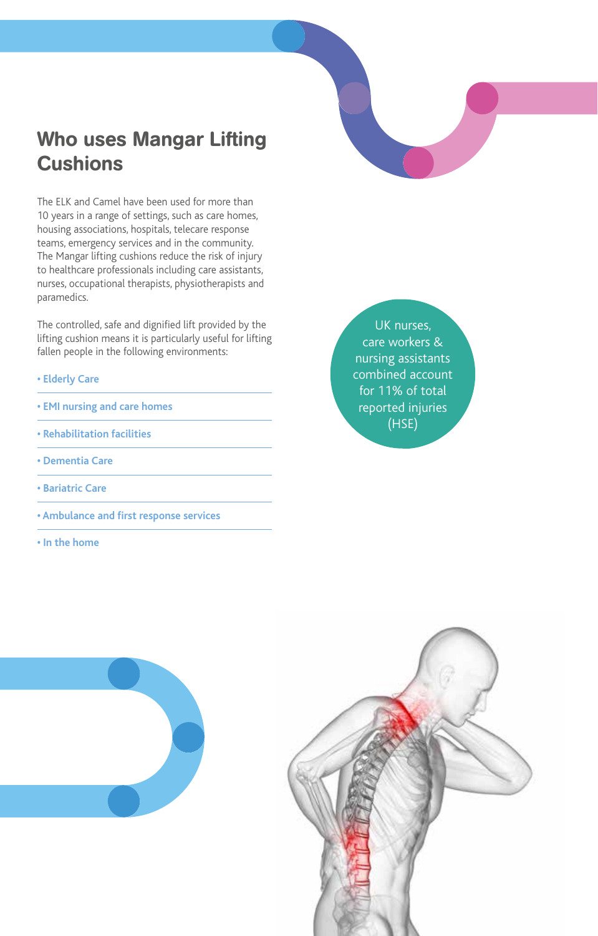# Who uses Mangar Lifting Cushions

The ELK and Camel have been used for more than 10 years in a range of settings, such as care homes, housing associations, hospitals, telecare response teams, emergency services and in the community. The Mangar lifting cushions reduce the risk of injury to healthcare professionals including care assistants, nurses, occupational therapists, physiotherapists and paramedics.

The controlled, safe and dignified lift provided by the lifting cushion means it is particularly useful for lifting fallen people in the following environments:

- **Elderly Care**
- **EMI nursing and care homes**
- **Rehabilitation facilities**
- **Dementia Care**
- **Bariatric Care**
- **Ambulance and first response services**
- **In the home**

UK nurses, care workers & nursing assistants combined account for 11% of total reported injuries (HSE)



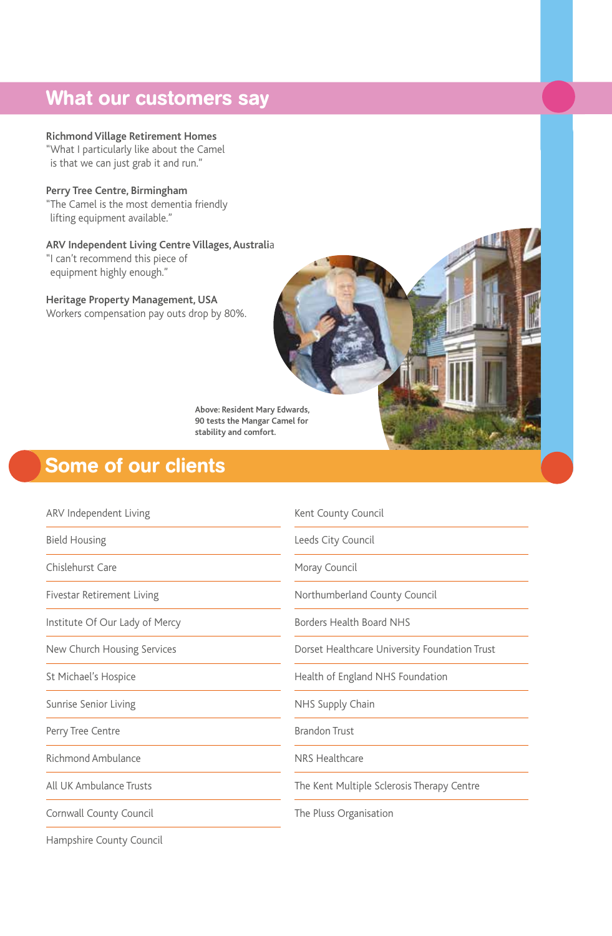# What our customers say

**Richmond Village Retirement Homes** "What I particularly like about the Camel is that we can just grab it and run."

**Perry Tree Centre, Birmingham** "The Camel is the most dementia friendly lifting equipment available."

**ARV Independent Living Centre Villages, Australi**a

"I can't recommend this piece of equipment highly enough."

**Heritage Property Management, USA** Workers compensation pay outs drop by 80%.

> **Above: Resident Mary Edwards, 90 tests the Mangar Camel for stability and comfort.**

# Some of our clients

| ARV Independent Living         | Kent County Council                           |
|--------------------------------|-----------------------------------------------|
| <b>Bield Housing</b>           | Leeds City Council                            |
| Chislehurst Care               | Moray Council                                 |
| Fivestar Retirement Living     | Northumberland County Council                 |
| Institute Of Our Lady of Mercy | Borders Health Board NHS                      |
| New Church Housing Services    | Dorset Healthcare University Foundation Trust |
| St Michael's Hospice           | Health of England NHS Foundation              |
| Sunrise Senior Living          | NHS Supply Chain                              |
| Perry Tree Centre              | <b>Brandon Trust</b>                          |
| Richmond Ambulance             | NRS Healthcare                                |
| All UK Ambulance Trusts        | The Kent Multiple Sclerosis Therapy Centre    |
| Cornwall County Council        | The Pluss Organisation                        |
|                                |                                               |

Hampshire County Council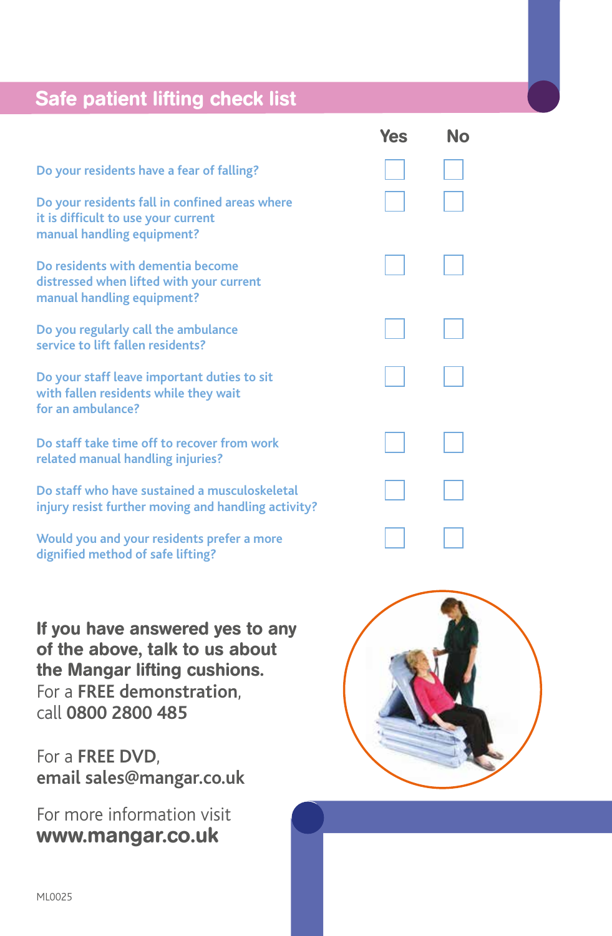# Safe patient lifting check list

|                                                                                                                     | 155 | IVU |  |
|---------------------------------------------------------------------------------------------------------------------|-----|-----|--|
| Do your residents have a fear of falling?                                                                           |     |     |  |
| Do your residents fall in confined areas where<br>it is difficult to use your current<br>manual handling equipment? |     |     |  |
| Do residents with dementia become<br>distressed when lifted with your current<br>manual handling equipment?         |     |     |  |
| Do you regularly call the ambulance<br>service to lift fallen residents?                                            |     |     |  |
| Do your staff leave important duties to sit<br>with fallen residents while they wait<br>for an ambulance?           |     |     |  |
| Do staff take time off to recover from work<br>related manual handling injuries?                                    |     |     |  |
| Do staff who have sustained a musculoskeletal<br>injury resist further moving and handling activity?                |     |     |  |
| Would you and your residents prefer a more<br>dignified method of safe lifting?                                     |     |     |  |
|                                                                                                                     |     |     |  |

If you have answered yes to any of the above, talk to us about the Mangar lifting cushions. For a **FREE demonstration**, call **0800 2800 485**

For a **FREE DVD**, **email sales@mangar.co.uk**

For more information visit www.mangar.co.uk



Yes No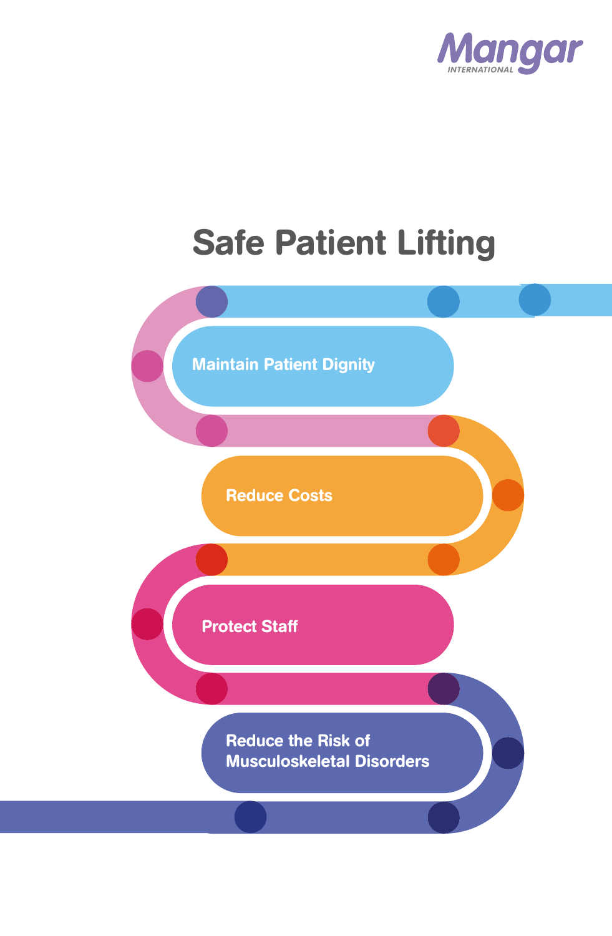

# Safe Patient Lifting

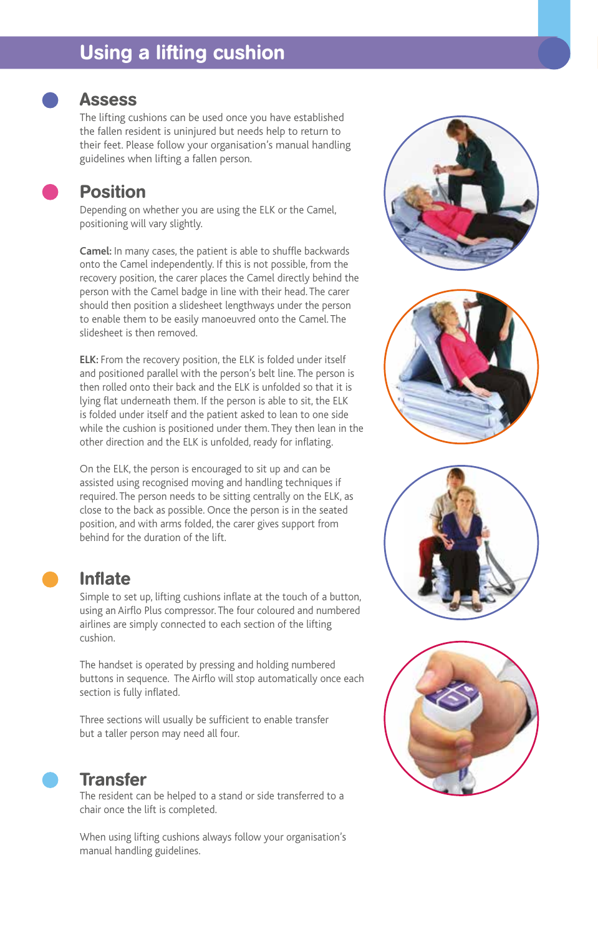# Using a lifting cushion



#### **Assess**

The lifting cushions can be used once you have established the fallen resident is uninjured but needs help to return to their feet. Please follow your organisation's manual handling guidelines when lifting a fallen person.

| 'OSI' |  |
|-------|--|
|       |  |

### tion

Depending on whether you are using the ELK or the Camel, positioning will vary slightly.

**Camel:** In many cases, the patient is able to shuffle backwards onto the Camel independently. If this is not possible, from the recovery position, the carer places the Camel directly behind the person with the Camel badge in line with their head. The carer should then position a slidesheet lengthways under the person to enable them to be easily manoeuvred onto the Camel. The slidesheet is then removed.

**ELK:** From the recovery position, the ELK is folded under itself and positioned parallel with the person's belt line. The person is then rolled onto their back and the ELK is unfolded so that it is lying flat underneath them. If the person is able to sit, the ELK is folded under itself and the patient asked to lean to one side while the cushion is positioned under them. They then lean in the other direction and the ELK is unfolded, ready for inflating.

On the ELK, the person is encouraged to sit up and can be assisted using recognised moving and handling techniques if required. The person needs to be sitting centrally on the ELK, as close to the back as possible. Once the person is in the seated position, and with arms folded, the carer gives support from behind for the duration of the lift.

#### Inflate

Simple to set up, lifting cushions inflate at the touch of a button, using an Airflo Plus compressor. The four coloured and numbered airlines are simply connected to each section of the lifting cushion.

The handset is operated by pressing and holding numbered buttons in sequence. The Airflo will stop automatically once each section is fully inflated.

Three sections will usually be sufficient to enable transfer but a taller person may need all four.



#### **Transfer**

The resident can be helped to a stand or side transferred to a chair once the lift is completed.

When using lifting cushions always follow your organisation's manual handling guidelines.







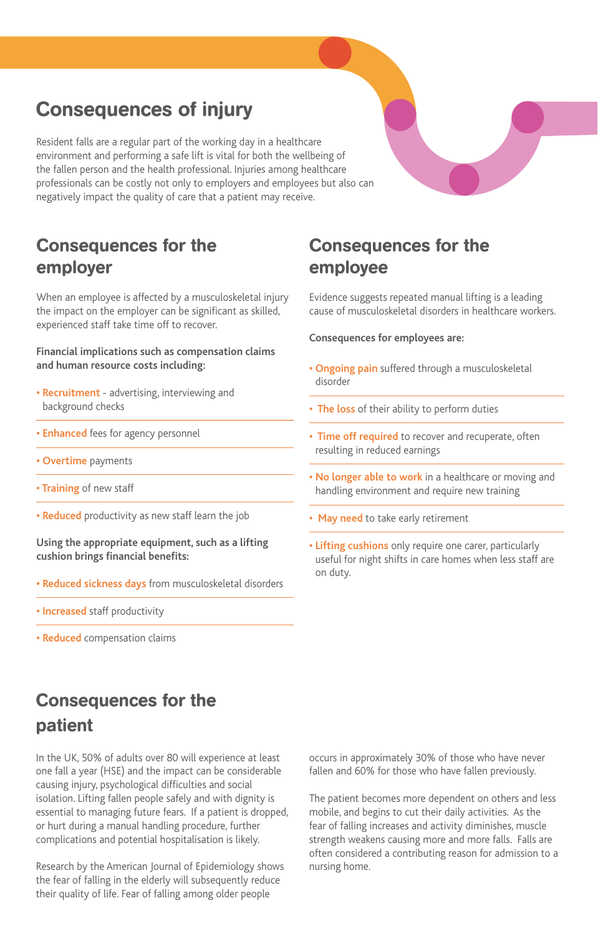# Consequences of injury

Resident falls are a regular part of the working day in a healthcare environment and performing a safe lift is vital for both the wellbeing of the fallen person and the health professional. Injuries among healthcare professionals can be costly not only to employers and employees but also can negatively impact the quality of care that a patient may receive.

### Consequences for the employer

When an employee is affected by a musculoskeletal injury the impact on the employer can be significant as skilled, experienced staff take time off to recover.

#### **Financial implications such as compensation claims and human resource costs including:**

- **Recruitment**  advertising, interviewing and background checks
- **Enhanced** fees for agency personnel
- **Overtime** payments
- **Training** of new staff
- **Reduced** productivity as new staff learn the job

#### **Using the appropriate equipment, such as a lifting cushion brings financial benefits:**

- **Reduced sickness days** from musculoskeletal disorders
- **Increased** staff productivity
- **Reduced** compensation claims

## Consequences for the employee

Evidence suggests repeated manual lifting is a leading cause of musculoskeletal disorders in healthcare workers.

#### **Consequences for employees are:**

- **Ongoing pain** suffered through a musculoskeletal disorder
- **The loss** of their ability to perform duties
- **Time off required** to recover and recuperate, often resulting in reduced earnings
- **No longer able to work** in a healthcare or moving and handling environment and require new training
- **May need** to take early retirement
- **Lifting cushions** only require one carer, particularly useful for night shifts in care homes when less staff are on duty.

# Consequences for the patient

In the UK, 50% of adults over 80 will experience at least one fall a year (HSE) and the impact can be considerable causing injury, psychological difficulties and social isolation. Lifting fallen people safely and with dignity is essential to managing future fears. If a patient is dropped, or hurt during a manual handling procedure, further complications and potential hospitalisation is likely.

Research by the American Journal of Epidemiology shows the fear of falling in the elderly will subsequently reduce their quality of life. Fear of falling among older people

occurs in approximately 30% of those who have never fallen and 60% for those who have fallen previously.

The patient becomes more dependent on others and less mobile, and begins to cut their daily activities. As the fear of falling increases and activity diminishes, muscle strength weakens causing more and more falls. Falls are often considered a contributing reason for admission to a nursing home.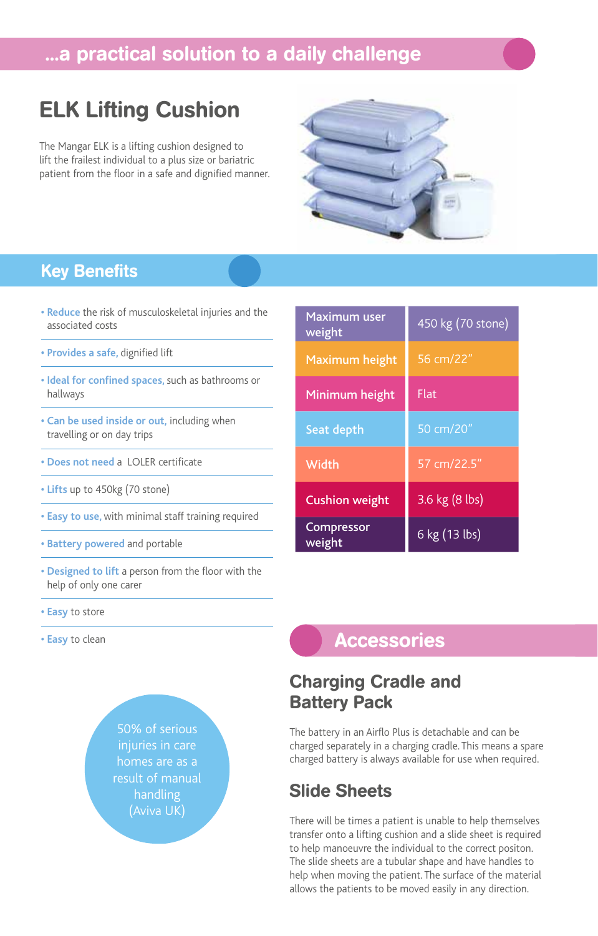# ...a practical solution to a daily challenge

# ELK Lifting Cushion

The Mangar ELK is a lifting cushion designed to lift the frailest individual to a plus size or bariatric patient from the floor in a safe and dignified manner.



### Key Benefits

- **Reduce** the risk of musculoskeletal injuries and the associated costs
- **Provides a safe,** dignified lift
- **Ideal for confined spaces,** such as bathrooms or hallways
- **Can be used inside or out,** including when travelling or on day trips
- **Does not need** a LOLER certificate
- **Lifts** up to 450kg (70 stone)
- **Easy to use,** with minimal staff training required
- **Battery powered** and portable
- **Designed to lift** a person from the floor with the help of only one carer
- **Easy** to store
- **Easy** to clean



| Maximum user<br>weight | 450 kg (70 stone) |
|------------------------|-------------------|
| Maximum height         | 56 cm/22"         |
| Minimum height         | <b>Flat</b>       |
| Seat depth             | 50 cm/20"         |
| Width                  | 57 cm/22.5"       |
| <b>Cushion weight</b>  | 3.6 kg (8 lbs)    |
| Compressor<br>weight   | 6 kg (13 lbs)     |

### **Accessories**

### Charging Cradle and Battery Pack

The battery in an Airflo Plus is detachable and can be charged separately in a charging cradle. This means a spare charged battery is always available for use when required.

### Slide Sheets

There will be times a patient is unable to help themselves transfer onto a lifting cushion and a slide sheet is required to help manoeuvre the individual to the correct positon. The slide sheets are a tubular shape and have handles to help when moving the patient. The surface of the material allows the patients to be moved easily in any direction.